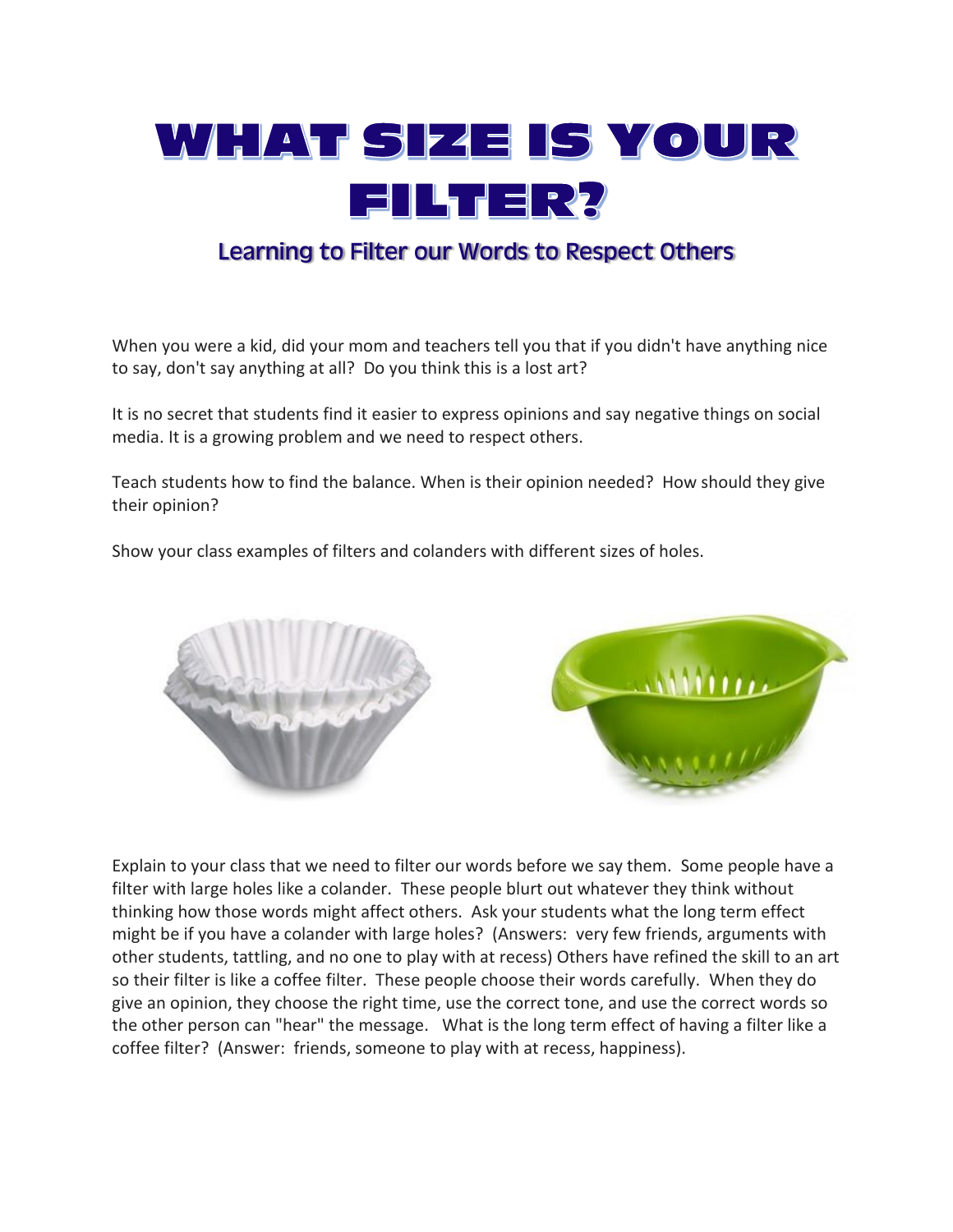

## Learning to Filter our Words to Respect Others

When you were a kid, did your mom and teachers tell you that if you didn't have anything nice to say, don't say anything at all? Do you think this is a lost art?

It is no secret that students find it easier to express opinions and say negative things on social media. It is a growing problem and we need to respect others.

Teach students how to find the balance. When is their opinion needed? How should they give their opinion?

Show your class examples of filters and colanders with different sizes of holes.



Explain to your class that we need to filter our words before we say them. Some people have a filter with large holes like a colander. These people blurt out whatever they think without thinking how those words might affect others. Ask your students what the long term effect might be if you have a colander with large holes? (Answers: very few friends, arguments with other students, tattling, and no one to play with at recess) Others have refined the skill to an art so their filter is like a coffee filter. These people choose their words carefully. When they do give an opinion, they choose the right time, use the correct tone, and use the correct words so the other person can "hear" the message. What is the long term effect of having a filter like a coffee filter? (Answer: friends, someone to play with at recess, happiness).